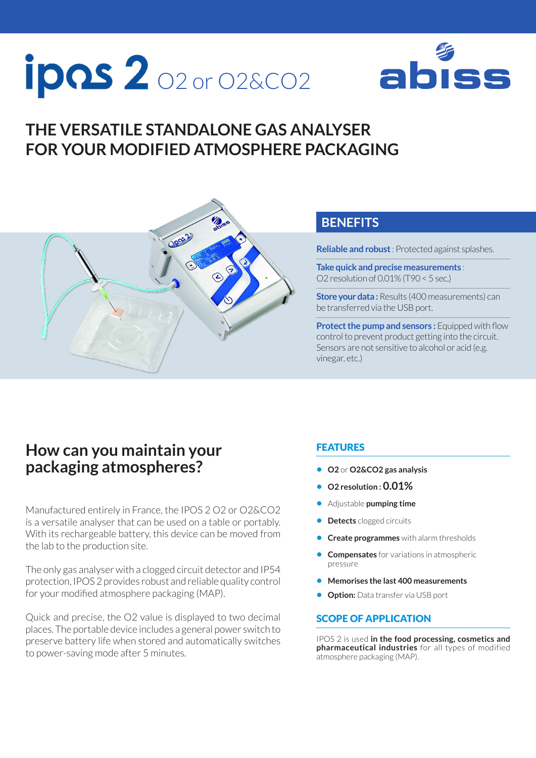# **ipos 2** 02 or 02&CO2



## **THE VERSATILE STANDALONE GAS ANALYSER FOR YOUR MODIFIED ATMOSPHERE PACKAGING**



### **BENEFITS**

**Reliable and robust** : Protected against splashes.

**Take quick and precise measurements** : O2 resolution of 0.01% (T90 < 5 sec.)

**Store your data:** Results (400 measurements) can be transferred via the USB port.

**Protect the pump and sensors:** Equipped with flow control to prevent product getting into the circuit. Sensors are not sensitive to alcohol or acid (e.g. vinegar, etc.)

### **How can you maintain your packaging atmospheres?**

Manufactured entirely in France, the IPOS 2 O2 or O2&CO2 is a versatile analyser that can be used on a table or portably. With its rechargeable battery, this device can be moved from the lab to the production site.

The only gas analyser with a clogged circuit detector and IP54 protection, IPOS 2 provides robust and reliable quality control for your modified atmosphere packaging (MAP).

Quick and precise, the O2 value is displayed to two decimal places. The portable device includes a general power switch to preserve battery life when stored and automatically switches to power-saving mode after 5 minutes.

### FEATURES

- **• O2** or **O2&CO2 gas analysis**
- **• O2 resolution : 0.01%**
- **•** Adjustable **pumping time**
- **• Detects** clogged circuits
- **• Create programmes** with alarm thresholds
- **• Compensates** for variations in atmospheric pressure
- **• Memorises the last 400 measurements**
- **• Option:** Data transfer via USB port

#### SCOPE OF APPLICATION

IPOS 2 is used **in the food processing, cosmetics and pharmaceutical industries** for all types of modified atmosphere packaging (MAP).